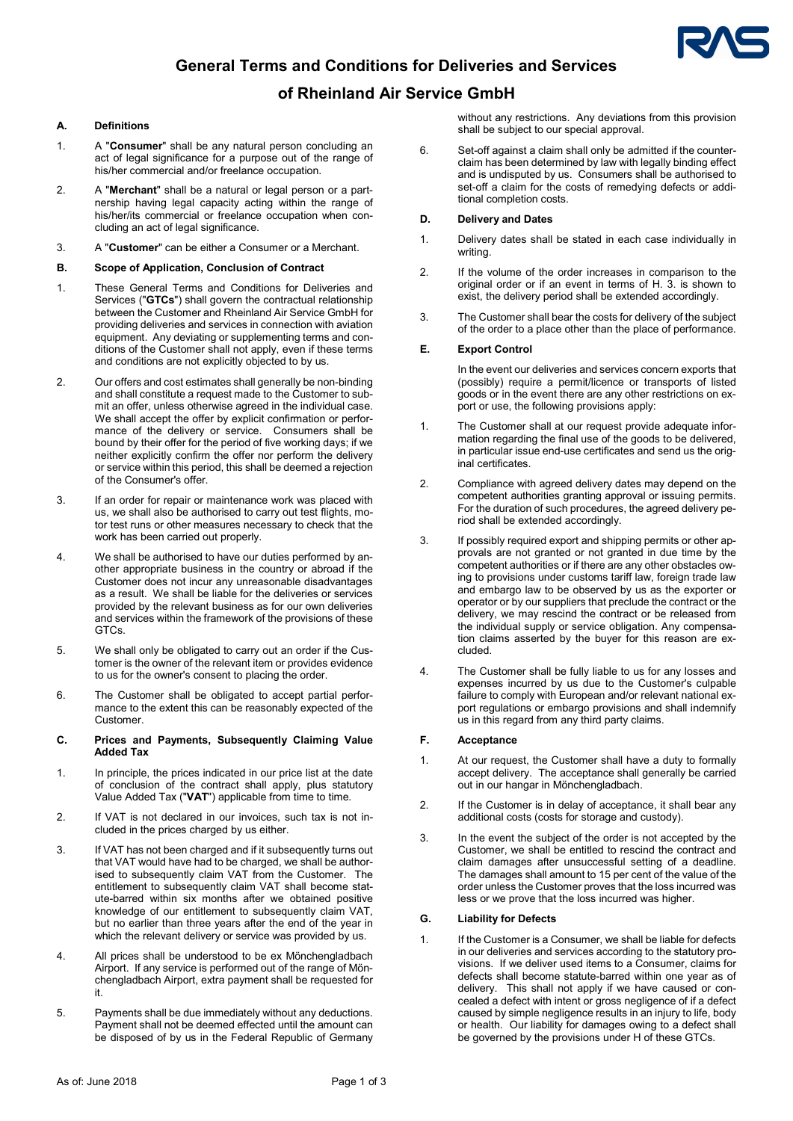

# General Terms and Conditions for Deliveries and Services

### of Rheinland Air Service GmbH

### A. Definitions

- 1. A "Consumer" shall be any natural person concluding an act of legal significance for a purpose out of the range of his/her commercial and/or freelance occupation.
- 2. A "Merchant" shall be a natural or legal person or a partnership having legal capacity acting within the range of his/her/its commercial or freelance occupation when concluding an act of legal significance.
- 3. A "Customer" can be either a Consumer or a Merchant.
- B. Scope of Application, Conclusion of Contract
- 1. These General Terms and Conditions for Deliveries and Services ("GTCs") shall govern the contractual relationship between the Customer and Rheinland Air Service GmbH for providing deliveries and services in connection with aviation equipment. Any deviating or supplementing terms and conditions of the Customer shall not apply, even if these terms and conditions are not explicitly objected to by us.
- 2. Our offers and cost estimates shall generally be non-binding and shall constitute a request made to the Customer to submit an offer, unless otherwise agreed in the individual case. We shall accept the offer by explicit confirmation or performance of the delivery or service. Consumers shall be bound by their offer for the period of five working days; if we neither explicitly confirm the offer nor perform the delivery or service within this period, this shall be deemed a rejection of the Consumer's offer.
- 3. If an order for repair or maintenance work was placed with us, we shall also be authorised to carry out test flights, motor test runs or other measures necessary to check that the work has been carried out properly.
- 4. We shall be authorised to have our duties performed by another appropriate business in the country or abroad if the Customer does not incur any unreasonable disadvantages as a result. We shall be liable for the deliveries or services provided by the relevant business as for our own deliveries and services within the framework of the provisions of these GTCs.
- 5. We shall only be obligated to carry out an order if the Customer is the owner of the relevant item or provides evidence to us for the owner's consent to placing the order.
- 6. The Customer shall be obligated to accept partial performance to the extent this can be reasonably expected of the Customer.

#### C. Prices and Payments, Subsequently Claiming Value Added Tax

- 1. In principle, the prices indicated in our price list at the date of conclusion of the contract shall apply, plus statutory Value Added Tax ("VAT") applicable from time to time.
- 2. If VAT is not declared in our invoices, such tax is not included in the prices charged by us either.
- 3. If VAT has not been charged and if it subsequently turns out that VAT would have had to be charged, we shall be authorised to subsequently claim VAT from the Customer. The entitlement to subsequently claim VAT shall become statute-barred within six months after we obtained positive knowledge of our entitlement to subsequently claim VAT, but no earlier than three years after the end of the year in which the relevant delivery or service was provided by us.
- 4. All prices shall be understood to be ex Mönchengladbach Airport. If any service is performed out of the range of Mönchengladbach Airport, extra payment shall be requested for it.
- 5. Payments shall be due immediately without any deductions. Payment shall not be deemed effected until the amount can be disposed of by us in the Federal Republic of Germany

without any restrictions. Any deviations from this provision shall be subject to our special approval.

6. Set-off against a claim shall only be admitted if the counterclaim has been determined by law with legally binding effect and is undisputed by us. Consumers shall be authorised to set-off a claim for the costs of remedying defects or additional completion costs.

### D. Delivery and Dates

- 1. Delivery dates shall be stated in each case individually in writing.
- 2. If the volume of the order increases in comparison to the original order or if an event in terms of H. 3. is shown to exist, the delivery period shall be extended accordingly.
- 3. The Customer shall bear the costs for delivery of the subject of the order to a place other than the place of performance.

### E. Export Control

In the event our deliveries and services concern exports that (possibly) require a permit/licence or transports of listed goods or in the event there are any other restrictions on export or use, the following provisions apply:

- 1. The Customer shall at our request provide adequate information regarding the final use of the goods to be delivered. in particular issue end-use certificates and send us the original certificates.
- 2. Compliance with agreed delivery dates may depend on the competent authorities granting approval or issuing permits. For the duration of such procedures, the agreed delivery period shall be extended accordingly.
- 3. If possibly required export and shipping permits or other approvals are not granted or not granted in due time by the competent authorities or if there are any other obstacles owing to provisions under customs tariff law, foreign trade law and embargo law to be observed by us as the exporter or operator or by our suppliers that preclude the contract or the delivery, we may rescind the contract or be released from the individual supply or service obligation. Any compensation claims asserted by the buyer for this reason are excluded.
- 4. The Customer shall be fully liable to us for any losses and expenses incurred by us due to the Customer's culpable failure to comply with European and/or relevant national export regulations or embargo provisions and shall indemnify us in this regard from any third party claims.

#### F. Acceptance

- 1. At our request, the Customer shall have a duty to formally accept delivery. The acceptance shall generally be carried out in our hangar in Mönchengladbach.
- 2. If the Customer is in delay of acceptance, it shall bear any additional costs (costs for storage and custody).
- 3. In the event the subject of the order is not accepted by the Customer, we shall be entitled to rescind the contract and claim damages after unsuccessful setting of a deadline. The damages shall amount to 15 per cent of the value of the order unless the Customer proves that the loss incurred was less or we prove that the loss incurred was higher.

### G. Liability for Defects

1. If the Customer is a Consumer, we shall be liable for defects in our deliveries and services according to the statutory provisions. If we deliver used items to a Consumer, claims for defects shall become statute-barred within one year as of delivery. This shall not apply if we have caused or concealed a defect with intent or gross negligence of if a defect caused by simple negligence results in an injury to life, body or health. Our liability for damages owing to a defect shall be governed by the provisions under H of these GTCs.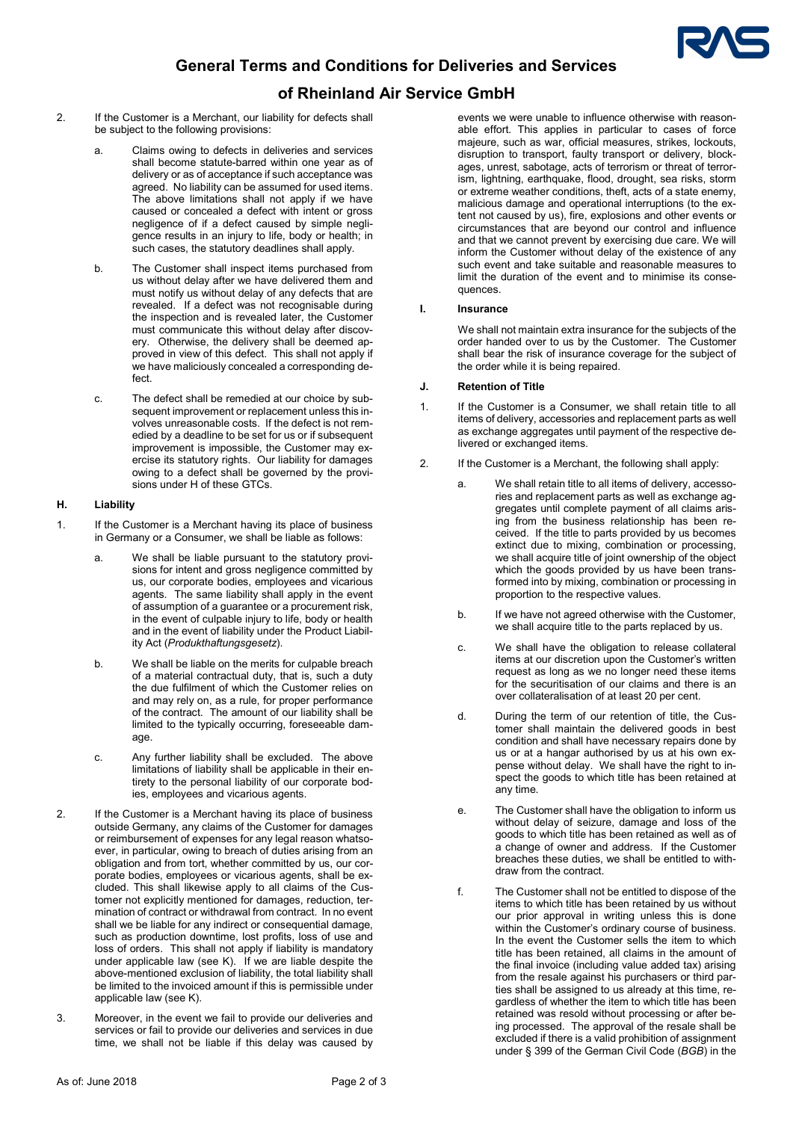

# General Terms and Conditions for Deliveries and Services

## of Rheinland Air Service GmbH

- 2. If the Customer is a Merchant, our liability for defects shall be subject to the following provisions:
	- a. Claims owing to defects in deliveries and services shall become statute-barred within one year as of delivery or as of acceptance if such acceptance was agreed. No liability can be assumed for used items. The above limitations shall not apply if we have caused or concealed a defect with intent or gross negligence of if a defect caused by simple negligence results in an injury to life, body or health; in such cases, the statutory deadlines shall apply.
	- b. The Customer shall inspect items purchased from us without delay after we have delivered them and must notify us without delay of any defects that are revealed. If a defect was not recognisable during the inspection and is revealed later, the Customer must communicate this without delay after discovery. Otherwise, the delivery shall be deemed approved in view of this defect. This shall not apply if we have maliciously concealed a corresponding defect.
	- c. The defect shall be remedied at our choice by subsequent improvement or replacement unless this involves unreasonable costs. If the defect is not remedied by a deadline to be set for us or if subsequent improvement is impossible, the Customer may exercise its statutory rights. Our liability for damages owing to a defect shall be governed by the provisions under H of these GTCs.

### H. Liability

- 1. If the Customer is a Merchant having its place of business in Germany or a Consumer, we shall be liable as follows:
	- a. We shall be liable pursuant to the statutory provisions for intent and gross negligence committed by us, our corporate bodies, employees and vicarious agents. The same liability shall apply in the event of assumption of a guarantee or a procurement risk, in the event of culpable injury to life, body or health and in the event of liability under the Product Liability Act (Produkthaftungsgesetz).
	- b. We shall be liable on the merits for culpable breach of a material contractual duty, that is, such a duty the due fulfilment of which the Customer relies on and may rely on, as a rule, for proper performance of the contract. The amount of our liability shall be limited to the typically occurring, foreseeable damage.
	- c. Any further liability shall be excluded. The above limitations of liability shall be applicable in their entirety to the personal liability of our corporate bodies, employees and vicarious agents.
- 2. If the Customer is a Merchant having its place of business outside Germany, any claims of the Customer for damages or reimbursement of expenses for any legal reason whatsoever, in particular, owing to breach of duties arising from an obligation and from tort, whether committed by us, our corporate bodies, employees or vicarious agents, shall be excluded. This shall likewise apply to all claims of the Customer not explicitly mentioned for damages, reduction, termination of contract or withdrawal from contract. In no event shall we be liable for any indirect or consequential damage, such as production downtime, lost profits, loss of use and loss of orders. This shall not apply if liability is mandatory under applicable law (see K). If we are liable despite the above-mentioned exclusion of liability, the total liability shall be limited to the invoiced amount if this is permissible under applicable law (see K).
- 3. Moreover, in the event we fail to provide our deliveries and services or fail to provide our deliveries and services in due time, we shall not be liable if this delay was caused by

events we were unable to influence otherwise with reasonable effort. This applies in particular to cases of force majeure, such as war, official measures, strikes, lockouts, disruption to transport, faulty transport or delivery, blockages, unrest, sabotage, acts of terrorism or threat of terrorism, lightning, earthquake, flood, drought, sea risks, storm or extreme weather conditions, theft, acts of a state enemy, malicious damage and operational interruptions (to the extent not caused by us), fire, explosions and other events or circumstances that are beyond our control and influence and that we cannot prevent by exercising due care. We will inform the Customer without delay of the existence of any such event and take suitable and reasonable measures to limit the duration of the event and to minimise its consequences.

### I. Insurance

We shall not maintain extra insurance for the subjects of the order handed over to us by the Customer. The Customer shall bear the risk of insurance coverage for the subject of the order while it is being repaired.

### J. Retention of Title

- 1. If the Customer is a Consumer, we shall retain title to all items of delivery, accessories and replacement parts as well as exchange aggregates until payment of the respective delivered or exchanged items.
- 2. If the Customer is a Merchant, the following shall apply:
	- a. We shall retain title to all items of delivery, accessories and replacement parts as well as exchange aggregates until complete payment of all claims arising from the business relationship has been received. If the title to parts provided by us becomes extinct due to mixing, combination or processing, we shall acquire title of joint ownership of the object which the goods provided by us have been transformed into by mixing, combination or processing in proportion to the respective values.
	- b. If we have not agreed otherwise with the Customer, we shall acquire title to the parts replaced by us.
	- c. We shall have the obligation to release collateral items at our discretion upon the Customer's written request as long as we no longer need these items for the securitisation of our claims and there is an over collateralisation of at least 20 per cent.
	- d. During the term of our retention of title, the Customer shall maintain the delivered goods in best condition and shall have necessary repairs done by us or at a hangar authorised by us at his own expense without delay. We shall have the right to inspect the goods to which title has been retained at any time.
	- e. The Customer shall have the obligation to inform us without delay of seizure, damage and loss of the goods to which title has been retained as well as of a change of owner and address. If the Customer breaches these duties, we shall be entitled to withdraw from the contract.
	- f. The Customer shall not be entitled to dispose of the items to which title has been retained by us without our prior approval in writing unless this is done within the Customer's ordinary course of business. In the event the Customer sells the item to which title has been retained, all claims in the amount of the final invoice (including value added tax) arising from the resale against his purchasers or third parties shall be assigned to us already at this time, regardless of whether the item to which title has been retained was resold without processing or after being processed. The approval of the resale shall be excluded if there is a valid prohibition of assignment under § 399 of the German Civil Code (BGB) in the